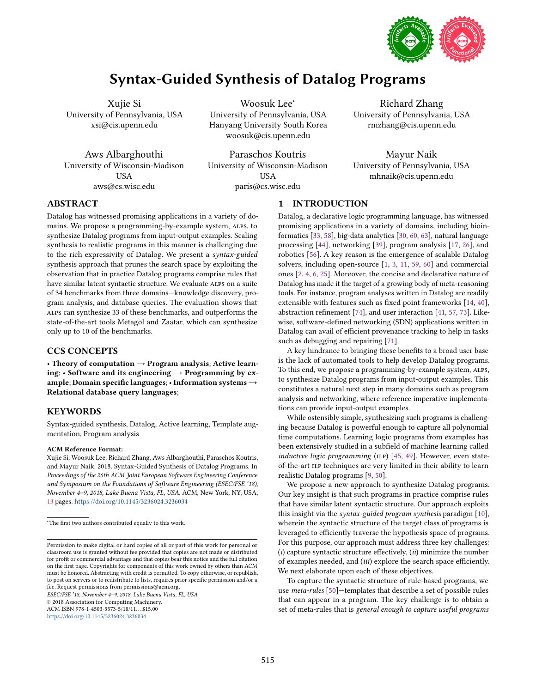

# Syntax-Guided Synthesis of Datalog Programs

Xujie Si University of Pennsylvania, USA xsi@cis.upenn.edu

Aws Albarghouthi University of Wisconsin-Madison USA aws@cs.wisc.edu

Woosuk Lee<sup>∗</sup> University of Pennsylvania, USA Hanyang University South Korea woosuk@cis.upenn.edu

Paraschos Koutris University of Wisconsin-Madison USA paris@cs.wisc.edu

Richard Zhang University of Pennsylvania, USA rmzhang@cis.upenn.edu

Mayur Naik University of Pennsylvania, USA mhnaik@cis.upenn.edu

# ABSTRACT

Datalog has witnessed promising applications in a variety of domains. We propose a programming-by-example system, ALPS, to synthesize Datalog programs from input-output examples. Scaling synthesis to realistic programs in this manner is challenging due to the rich expressivity of Datalog. We present a syntax-guided synthesis approach that prunes the search space by exploiting the observation that in practice Datalog programs comprise rules that have similar latent syntactic structure. We evaluate ALPS on a suite of 34 benchmarks from three domains-knowledge discovery, program analysis, and database queries. The evaluation shows that alps can synthesize 33 of these benchmarks, and outperforms the state-of-the-art tools Metagol and Zaatar, which can synthesize only up to 10 of the benchmarks.

# CCS CONCEPTS

 $\cdot$  Theory of computation  $\rightarrow$  Program analysis; Active learning;  $\cdot$  Software and its engineering  $\rightarrow$  Programming by example; Domain specific languages; • Information systems  $\rightarrow$ Relational database query languages;

# KEYWORDS

Syntax-guided synthesis, Datalog, Active learning, Template augmentation, Program analysis

#### ACM Reference Format:

Xujie Si, Woosuk Lee, Richard Zhang, Aws Albarghouthi, Paraschos Koutris, and Mayur Naik. 2018. Syntax-Guided Synthesis of Datalog Programs. In Proceedings of the 26th ACM Joint European Software Engineering Conference and Symposium on the Foundations of Software Engineering (ESEC/FSE '18), November 4-9, 2018, Lake Buena Vista, FL, USA. ACM, New York, NY, USA, [13](#page-12-0) pages. <https://doi.org/10.1145/3236024.3236034>

ESEC/FSE '18, November 4-9, 2018, Lake Buena Vista, FL, USA

© 2018 Association for Computing Machinery.

ACM ISBN 978-1-4503-5573-5/18/11. . . \$15.00

<https://doi.org/10.1145/3236024.3236034>

# 1 INTRODUCTION

Datalog, a declarative logic programming language, has witnessed promising applications in a variety of domains, including bioinformatics [\[33,](#page-11-0) [58\]](#page-11-1), big-data analytics [\[30,](#page-11-2) [60,](#page-11-3) [63\]](#page-11-4), natural language processing [\[44\]](#page-11-5), networking [\[39\]](#page-11-6), program analysis [\[17,](#page-11-7) [26\]](#page-11-8), and robotics [\[56\]](#page-11-9). A key reason is the emergence of scalable Datalog solvers, including open-source [\[1,](#page-11-10) [3,](#page-11-11) [11,](#page-11-12) [59,](#page-11-13) [60\]](#page-11-3) and commercial ones [\[2,](#page-11-14) [4,](#page-11-15) [6,](#page-11-16) [25\]](#page-11-17). Moreover, the concise and declarative nature of Datalog has made it the target of a growing body of meta-reasoning tools. For instance, program analyses written in Datalog are readily extensible with features such as fixed point frameworks [\[14,](#page-11-18) [40\]](#page-11-19), abstraction refinement [\[74\]](#page-12-1), and user interaction [\[41,](#page-11-20) [57,](#page-11-21) [73\]](#page-12-2). Likewise, software-defined networking (SDN) applications written in Datalog can avail of efficient provenance tracking to help in tasks such as debugging and repairing [\[71\]](#page-12-3).

A key hindrance to bringing these benefits to a broad user base is the lack of automated tools to help develop Datalog programs. To this end, we propose a programming-by-example system, alps, to synthesize Datalog programs from input-output examples. This constitutes a natural next step in many domains such as program analysis and networking, where reference imperative implementations can provide input-output examples.

While ostensibly simple, synthesizing such programs is challenging because Datalog is powerful enough to capture all polynomial time computations. Learning logic programs from examples has been extensively studied in a subfield of machine learning called inductive logic programming (ILP) [\[45,](#page-11-22) [49\]](#page-11-23). However, even stateof-the-art ILP techniques are very limited in their ability to learn realistic Datalog programs [\[9,](#page-11-24) [50\]](#page-11-25).

We propose a new approach to synthesize Datalog programs. Our key insight is that such programs in practice comprise rules that have similar latent syntactic structure. Our approach exploits this insight via the syntax-guided program synthesis paradigm [\[10\]](#page-11-26), wherein the syntactic structure of the target class of programs is leveraged to efficiently traverse the hypothesis space of programs. For this purpose, our approach must address three key challenges:  $(i)$  capture syntactic structure effectively,  $(ii)$  minimize the number of examples needed, and (iii) explore the search space efficiently. We next elaborate upon each of these objectives.

To capture the syntactic structure of rule-based programs, we use  $meta$ -rules  $[50]$ -templates that describe a set of possible rules that can appear in a program. The key challenge is to obtain a set of meta-rules that is general enough to capture useful programs

<sup>∗</sup>The first two authors contributed equally to this work.

Permission to make digital or hard copies of all or part of this work for personal or classroom use is granted without fee provided that copies are not made or distributed for profit or commercial advantage and that copies bear this notice and the full citation on the first page. Copyrights for components of this work owned by others than ACM must be honored. Abstracting with credit is permitted. To copy otherwise, or republish, to post on servers or to redistribute to lists, requires prior specific permission and/or a fee. Request permissions from permissions@acm.org.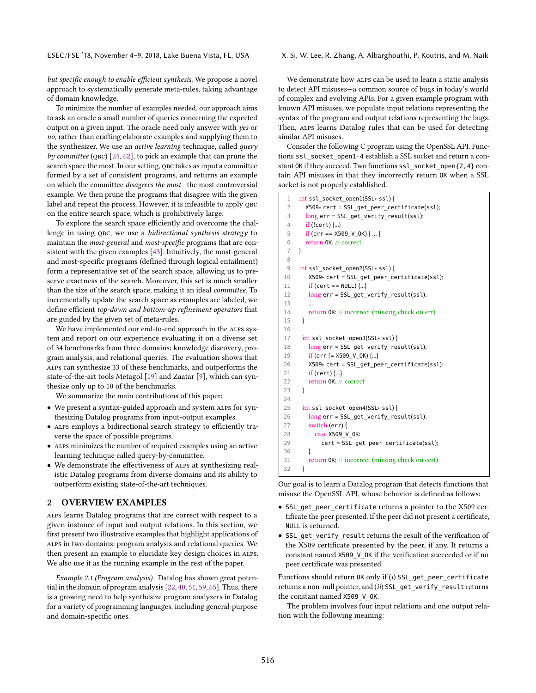ESEC/FSE '18, November 4–9, 2018, Lake Buena Vista, FL, USA X. Si, W. Lee, R. Zhang, A. Albarghouthi, P. Koutris, and M. Naik

but specific enough to enable efficient synthesis. We propose a novel approach to systematically generate meta-rules, taking advantage of domain knowledge.

To minimize the number of examples needed, our approach aims to ask an oracle a small number of queries concerning the expected output on a given input. The oracle need only answer with yes or no, rather than crafting elaborate examples and supplying them to the synthesizer. We use an *active learning* technique, called *query* by committee (QBC) [\[24,](#page-11-27) [62\]](#page-11-28), to pick an example that can prune the search space the most. In our setting, QBC takes as input a committee formed by a set of consistent programs, and returns an example on which the committee disagrees the most-the most controversial example. We then prune the programs that disagree with the given label and repeat the process. However, it is infeasible to apply QBC on the entire search space, which is prohibitively large.

To explore the search space efficiently and overcome the challenge in using qbc, we use a bidirectional synthesis strategy to maintain the most-general and most-specific programs that are consistent with the given examples [\[43\]](#page-11-29). Intuitively, the most-general and most-specific programs (defined through logical entailment) form a representative set of the search space, allowing us to preserve exactness of the search. Moreover, this set is much smaller than the size of the search space, making it an ideal committee. To incrementally update the search space as examples are labeled, we define efficient top-down and bottom-up refinement operators that are guided by the given set of meta-rules.

We have implemented our end-to-end approach in the ALPS system and report on our experience evaluating it on a diverse set of 34 benchmarks from three domains: knowledge discovery, program analysis, and relational queries. The evaluation shows that alps can synthesize 33 of these benchmarks, and outperforms the state-of-the-art tools Metagol [\[19\]](#page-11-30) and Zaatar [\[9\]](#page-11-24), which can synthesize only up to 10 of the benchmarks.

We summarize the main contributions of this paper:

- We present a syntax-guided approach and system alps for synthesizing Datalog programs from input-output examples.
- alps employs a bidirectional search strategy to efficiently traverse the space of possible programs.
- alps minimizes the number of required examples using an active learning technique called query-by-committee.
- We demonstrate the effectiveness of alps at synthesizing realistic Datalog programs from diverse domains and its ability to outperform existing state-of-the-art techniques.

### 2 OVERVIEW EXAMPLES

alps learns Datalog programs that are correct with respect to a given instance of input and output relations. In this section, we first present two illustrative examples that highlight applications of alps in two domains: program analysis and relational queries. We then present an example to elucidate key design choices in ALPS. We also use it as the running example in the rest of the paper.

<span id="page-1-0"></span>Example 2.1 (Program analysis). Datalog has shown great potential in the domain of program analysis [\[22,](#page-11-31) [40,](#page-11-19) [51,](#page-11-32) [59,](#page-11-13) [65\]](#page-11-33). Thus, there is a growing need to help synthesize program analyzers in Datalog for a variety of programming languages, including general-purpose and domain-specific ones.

We demonstrate how ALPS can be used to learn a static analysis to detect API misuses—a common source of bugs in today's world of complex and evolving APIs. For a given example program with known API misuses, we populate input relations representing the syntax of the program and output relations representing the bugs. Then, ALPS learns Datalog rules that can be used for detecting similar API misuses.

Consider the following C program using the OpenSSL API. Functions ssl\_socket\_open1-4 establish a SSL socket and return a constant OK if they succeed. Two functions ssl\_socket\_open{2,4} contain API misuses in that they incorrectly return OK when a SSL socket is not properly established.

```
1 int ssl_socket_open1(SSL∗ ssl) {
 2 X509∗ cert = SSL_get_peer_certificate(ssl);
 3 long err = SSL_get_verify_result(ssl);
 4 if (!cert) {...}
 5 if (err == X509 V OK) { ... }
 6 return OK; // correct
 7 }
8
 9 int ssl_socket_open2(SSL∗ ssl) {
10 X509∗ cert = SSL_get_peer_certificate(ssl);
11 if (cert == NULL) \{...\}12 long err = SSL_get_verify_result(ssl);
13 ...
14 return 0K; // incorrect (missing check on err)
15 }
16
17 int ssl_socket_open3(SSL∗ ssl) {
18 \log err = SSL get verify result(ssl);
19 if (err != X509_V_OK) {...}
20 X509∗ cert = SSL_get_peer_certificate(ssl);
21 if (cert) \{...\}22 return OK; // correct
23 }
24
25 int ssl_socket_open4(SSL∗ ssl) {
26 long err = SSL_get_verify_result(ssl);
27 switch (err) {
28 case X509 V 0K:
29 cert = SSL_get_peer_certificate(ssl);
30 }
31 return OK; // incorrect (missing check on cert)
32 }
```
Our goal is to learn a Datalog program that detects functions that misuse the OpenSSL API, whose behavior is defined as follows:

- SSL\_get\_peer\_certificate returns a pointer to the X509 certificate the peer presented. If the peer did not present a certificate, NULL is returned.
- SSL get verify result returns the result of the verification of the X509 certificate presented by the peer, if any. It returns a constant named X509\_V\_0K if the verification succeeded or if no peer certificate was presented.

Functions should return  $OK$  only if (i) SSL\_get\_peer\_certificate returns a non-null pointer, and (ii) SSL\_get\_verify\_result returns the constant named X509 V 0K.

The problem involves four input relations and one output relation with the following meaning: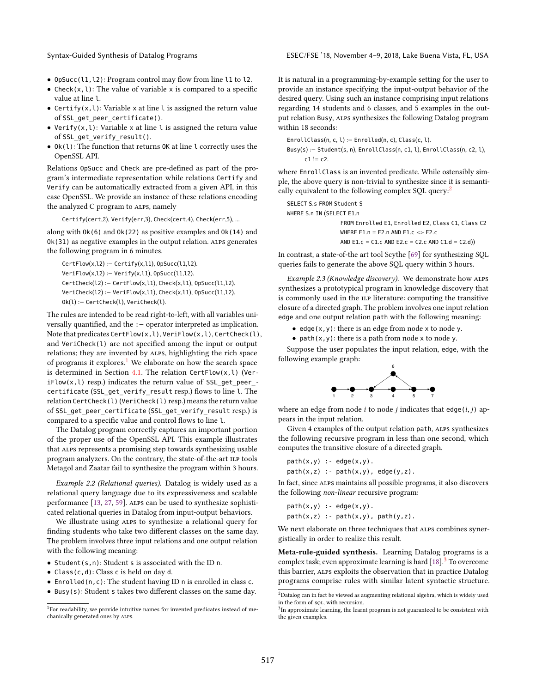Syntax-Guided Synthesis of Datalog Programs ESEC/FSE '18, November 4–9, 2018, Lake Buena Vista, FL, USA

- OpSucc(l1,l2): Program control may flow from line l1 to l2.
- Check( $x, l$ ): The value of variable x is compared to a specific value at line l.
- Certify( $x, l$ ): Variable x at line l is assigned the return value of SSL get peer certificate().
- Verify( $x, l$ ): Variable  $x$  at line  $l$  is assigned the return value of SSL\_get\_verify\_result().
- Ok(l): The function that returns OK at line l correctly uses the OpenSSL API.

Relations OpSucc and Check are pre-defined as part of the program's intermediate representation while relations Certify and Verify can be automatically extracted from a given API, in this case OpenSSL. We provide an instance of these relations encoding the analyzed C program to ALPS, namely

Certify(cert,2), Verify(err,3), Check(cert,4), Check(err,5), ...

along with Ok(6) and Ok(22) as positive examples and Ok(14) and Ok(31) as negative examples in the output relation. alps generates the following program in 6 minutes.

```
CertFlow(x, l2) :- Certify(x, l1), OpSucc(l1, l2).VeriFlow(x,l2) :− Verify(x,l1), OpSucc(l1,l2).
CertCheck(l2) :− CertFlow(x,l1), Check(x,l1), OpSucc(l1,l2).
VeriCheck(l2) :− VeriFlow(x,l1), Check(x,l1), OpSucc(l1,l2).
Ok(l) :− CertCheck(l), VeriCheck(l).
```
The rules are intended to be read right-to-left, with all variables universally quantified, and the :− operator interpreted as implication. Note that predicates CertFlow(x,l), VeriFlow(x,l), CertCheck(l), and VeriCheck(l) are not specified among the input or output relations; they are invented by ALPS, highlighting the rich space of programs it explores.<sup>[1](#page-2-0)</sup> We elaborate on how the search space is determined in Section [4.1.](#page-3-0) The relation CertFlow(x, l) (Ver $iFlow(x, l)$  resp.) indicates the return value of SSL get peer certificate (SSL\_get\_verify\_result resp.) flows to line l. The relation CertCheck(l) (VeriCheck(l) resp.) means the return value of SSL get peer certificate (SSL get verify result resp.) is compared to a specific value and control flows to line l.

The Datalog program correctly captures an important portion of the proper use of the OpenSSL API. This example illustrates that alps represents a promising step towards synthesizing usable program analyzers. On the contrary, the state-of-the-art ILP tools Metagol and Zaatar fail to synthesize the program within 3 hours.

<span id="page-2-3"></span>Example 2.2 (Relational queries). Datalog is widely used as a relational query language due to its expressiveness and scalable performance [\[13,](#page-11-34) [27,](#page-11-35) [59\]](#page-11-13). ALPS can be used to synthesize sophisticated relational queries in Datalog from input-output behaviors.

We illustrate using ALPS to synthesize a relational query for finding students who take two different classes on the same day. The problem involves three input relations and one output relation with the following meaning:

- Student(s,n): Student s is associated with the ID n.
- Class(c,d): Class c is held on day d.
- Enrolled(n,c): The student having ID n is enrolled in class c.
- Busy(s): Student s takes two different classes on the same day.

It is natural in a programming-by-example setting for the user to provide an instance specifying the input-output behavior of the desired query. Using such an instance comprising input relations regarding 14 students and 6 classes, and 5 examples in the output relation Busy, alps synthesizes the following Datalog program within 18 seconds:

```
EnrollClass(n, c, l) := Enrolled(n, c), Class(c, l).Busy(s) :− Student(s, n), EnrollClass(n, c1, l), EnrollClass(n, c2, l),
      c1 := c2.
```
where EnrollClass is an invented predicate. While ostensibly simple, the above query is non-trivial to synthesize since it is semanti-cally equivalent to the following complex SQL query:<sup>[2](#page-2-1)</sup>

SELECT S.s FROM Student S WHERE S.n IN (SELECT E1.n FROM Enrolled E1, Enrolled E2, Class C1, Class C2 WHERE  $E1.n = E2.n$  AND  $E1.c \leq E2.c$ AND E1.c = C1.c AND E2.c = C2.c AND C1.d = C2.d))

In contrast, a state-of-the art tool Scythe [\[69\]](#page-12-4) for synthesizing SQL queries fails to generate the above SQL query within 3 hours.

<span id="page-2-4"></span>Example 2.3 (Knowledge discovery). We demonstrate how ALPS synthesizes a prototypical program in knowledge discovery that is commonly used in the ILP literature: computing the transitive closure of a directed graph. The problem involves one input relation edge and one output relation path with the following meaning:

- edge $(x, y)$ : there is an edge from node x to node y.
- path $(x, y)$ : there is a path from node x to node y.

Suppose the user populates the input relation, edge, with the following example graph:

6



where an edge from node *i* to node *j* indicates that edge( $i, j$ ) appears in the input relation.

Given 4 examples of the output relation path, alps synthesizes the following recursive program in less than one second, which computes the transitive closure of a directed graph.

```
path(x,y) : = edge(x,y).
path(x, z) :- path(x, y), edge(y, z).
```
In fact, since ALPS maintains all possible programs, it also discovers the following non-linear recursive program:

 $path(x,y)$  :- edge $(x,y)$ . path $(x, z)$  :- path $(x, y)$ , path $(y, z)$ .

We next elaborate on three techniques that ALPS combines synergistically in order to realize this result.

Meta-rule-guided synthesis. Learning Datalog programs is a complex task; even approximate learning is hard  $[18]$ .<sup>[3](#page-2-2)</sup> To overcome this barrier, ALPS exploits the observation that in practice Datalog programs comprise rules with similar latent syntactic structure.

<span id="page-2-0"></span><sup>&</sup>lt;sup>1</sup>For readability, we provide intuitive names for invented predicates instead of mechanically generated ones by ALPS.

<span id="page-2-1"></span> $^2$ Datalog can in fact be viewed as augmenting relational algebra, which is widely used in the form of sQL, with recursion.

<span id="page-2-2"></span> $3$ In approximate learning, the learnt program is not guaranteed to be consistent with the given examples.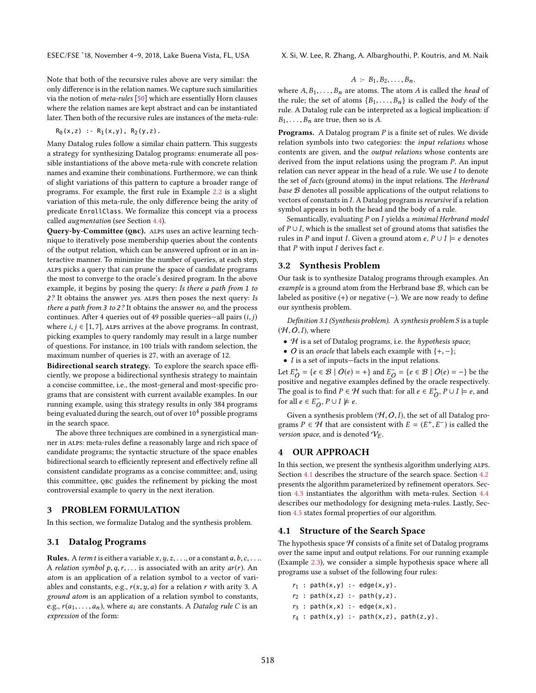Note that both of the recursive rules above are very similar: the only difference is in the relation names. We capture such similarities via the notion of meta-rules [\[50\]](#page-11-25) which are essentially Horn clauses where the relation names are kept abstract and can be instantiated later. Then both of the recursive rules are instances of the meta-rule:

$$
R_0(x, z) : R_1(x, y), R_2(y, z).
$$

Many Datalog rules follow a similar chain pattern. This suggests a strategy for synthesizing Datalog programs: enumerate all possible instantiations of the above meta-rule with concrete relation names and examine their combinations. Furthermore, we can think of slight variations of this pattern to capture a broader range of programs. For example, the first rule in Example [2.2](#page-2-3) is a slight variation of this meta-rule, the only difference being the arity of predicate EnrollClass. We formalize this concept via a process called augmentation (see Section [4.4\)](#page-5-0).

Query-by-Committee (qbc). alps uses an active learning technique to iteratively pose membership queries about the contents of the output relation, which can be answered upfront or in an interactive manner. To minimize the number of queries, at each step, alps picks a query that can prune the space of candidate programs the most to converge to the oracle's desired program. In the above example, it begins by posing the query: Is there a path from 1 to 2? It obtains the answer yes. ALPS then poses the next query: Is there a path from 3 to 2? It obtains the answer no, and the process continues. After 4 queries out of 49 possible queries-all pairs  $(i, j)$ where  $i, j \in [1, 7]$ , ALPS arrives at the above programs. In contrast, picking examples to query randomly may result in a large number of questions. For instance, in 100 trials with random selection, the maximum number of queries is 27, with an average of 12.

Bidirectional search strategy. To explore the search space efficiently, we propose a bidirectional synthesis strategy to maintain a concise committee, i.e., the most-general and most-specific programs that are consistent with current available examples. In our running example, using this strategy results in only 384 programs being evaluated during the search, out of over  $10<sup>4</sup>$  possible programs in the search space.

The above three techniques are combined in a synergistical manner in ALPS: meta-rules define a reasonably large and rich space of candidate programs; the syntactic structure of the space enables bidirectional search to efficiently represent and effectively refine all consistent candidate programs as a concise committee; and, using this committee, qbc guides the refinement by picking the most controversial example to query in the next iteration.

#### 3 PROBLEM FORMULATION

In this section, we formalize Datalog and the synthesis problem.

#### 3.1 Datalog Programs

**Rules.** A term t is either a variable  $x, y, z, \ldots$ , or a constant  $a, b, c, \ldots$ . A relation symbol  $p, q, r, \ldots$  is associated with an arity  $ar(r)$ . An atom is an application of a relation symbol to a vector of variables and constants, e.g.,  $r(x, y, a)$  for a relation  $r$  with arity 3. A ground atom is an application of a relation symbol to constants, e.g.,  $r(a_1, \ldots, a_n)$ , where  $a_i$  are constants. A Datalog rule C is an expression of the form:

ESEC/FSE '18, November 4–9, 2018, Lake Buena Vista, FL, USA X. Si, W. Lee, R. Zhang, A. Albarghouthi, P. Koutris, and M. Naik

$$
A : B_1, B_2, \ldots, B_n.
$$

where  $A, B_1, \ldots, B_n$  are atoms. The atom A is called the *head* of the rule; the set of atoms  $\{B_1, \ldots, B_n\}$  is called the *body* of the rule. A Datalog rule can be interpreted as a logical implication: if  $B_1, \ldots, B_n$  are true, then so is A.

**Programs.** A Datalog program  $P$  is a finite set of rules. We divide relation symbols into two categories: the input relations whose contents are given, and the output relations whose contents are derived from the input relations using the program P. An input relation can never appear in the head of a rule. We use I to denote the set of facts (ground atoms) in the input relations. The Herbrand base B denotes all possible applications of the output relations to vectors of constants in I. A Datalog program is recursive if a relation symbol appears in both the head and the body of a rule.

Semantically, evaluating P on I yields a minimal Herbrand model of  $P \cup I$ , which is the smallest set of ground atoms that satisfies the rules in P and input I. Given a ground atom  $e, P \cup I \models e$  denotes that  $P$  with input  $I$  derives fact  $e$ .

#### 3.2 Synthesis Problem

Our task is to synthesize Datalog programs through examples. An example is a ground atom from the Herbrand base  $B$ , which can be labeled as positive (+) or negative (−). We are now ready to define our synthesis problem.

Definition 3.1 (Synthesis problem). A synthesis problem S is a tuple  $(H, O, I)$ , where

- $\bullet$   $H$  is a set of Datalog programs, i.e. the *hypothesis space*;
- *O* is an *oracle* that labels each example with  $\{+, -\}$ ;
- $\bullet$   $I$  is a set of inputs—facts in the input relations.

Let  $E_{\Omega}^+$  $O_{\mathcal{O}}^+ = \{e \in \mathcal{B} \mid O(e) = +\}$  and  $E_{\mathcal{O}}^- = \{e \in \mathcal{B} \mid O(e) = -\}$  be the positive and negative examples defined by the oracle respectively. The goal is to find  $P \in \mathcal{H}$  such that: for all  $e \in E_C^+$  $\overline{O}$ ,  $P \cup I \models e$ , and for all  $e \in E_O^-, P \cup I \not\models e$ .

Given a synthesis problem  $(H, O, I)$ , the set of all Datalog programs  $P \in H$  that are consistent with  $E = (E^+, E^-)$  is called the version space, and is denoted  $V_F$ .

# 4 OUR APPROACH

In this section, we present the synthesis algorithm underlying ALPS. Section [4.1](#page-3-0) describes the structure of the search space. Section [4.2](#page-4-0) presents the algorithm parameterized by refinement operators. Section [4.3](#page-4-1) instantiates the algorithm with meta-rules. Section [4.4](#page-5-0) describes our methodology for designing meta-rules. Lastly, Section [4.5](#page-6-0) states formal properties of our algorithm.

#### <span id="page-3-0"></span>4.1 Structure of the Search Space

The hypothesis space  $H$  consists of a finite set of Datalog programs over the same input and output relations. For our running example (Example [2.3\)](#page-2-4), we consider a simple hypothesis space where all programs use a subset of the following four rules:

 $r_1$  : path(x,y) : edge(x,y).  $r_2$  : path(x,z) : - path(y,z).  $r_3$  : path(x,x) :- edge(x,x).  $r_4$  : path(x,y) :- path(x,z), path(z,y).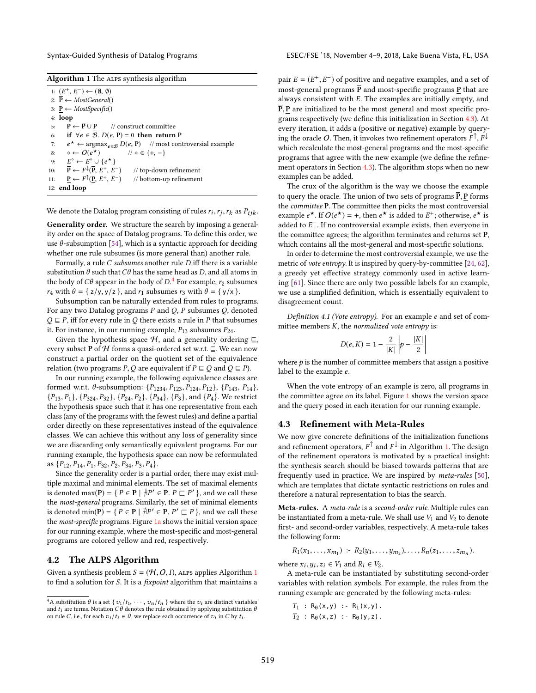<span id="page-4-3"></span>

|  |  | Algorithm 1 The ALPS synthesis algorithm |  |
|--|--|------------------------------------------|--|
|  |  |                                          |  |

1:  $(E^+, E^-)$  ←  $(\emptyset, \emptyset)$  $2: \overline{P} \leftarrow MostGeneral()$ 3:  $P \leftarrow MostSpecific()$ 4: loop 5:  $P \leftarrow \overline{P} \cup P$  // construct committee 6: if  $\forall e \in \mathcal{B}$ .  $D(e, P) = 0$  then return P 7:  $e^{\star}$  ←  $\arg \max_{e \in \mathcal{B}} D(e, P)$  // most controversial example 8:  $\diamond \leftarrow O(e^{\star})$  $// \diamond \in \{+,-\}$ 9:  $E^{\diamond} \leftarrow E^{\diamond} \cup \{e^{\star}\}\$ 10:  $\overline{\mathbf{P}} \leftarrow F^{\downarrow}(\overline{\mathbf{P}}, E^+, E)$ <sup>−</sup>) // top-down refinement 11:  $\underline{\mathbf{P}} \leftarrow F^{\uparrow}(\underline{\mathbf{P}}, E^+, E)$ <sup>−</sup>) // bottom-up refinement 12: end loop

We denote the Datalog program consisting of rules  $r_i, r_j, r_k$  as  $P_{ijk}$ .

Generality order. We structure the search by imposing a generality order on the space of Datalog programs. To define this order, we use  $\theta$ -subsumption [\[54\]](#page-11-37), which is a syntactic approach for deciding whether one rule subsumes (is more general than) another rule.

Formally, a rule C subsumes another rule D iff there is a variable substitution  $\theta$  such that  $C\theta$  has the same head as D, and all atoms in the body of  $C\theta$  appear in the body of  $D$ .<sup>[4](#page-4-2)</sup> For example,  $r_2$  subsumes  $r_4$  with  $\theta = \{ z/y, y/z \}$ , and  $r_1$  subsumes  $r_3$  with  $\theta = \{ y/x \}$ .

Subsumption can be naturally extended from rules to programs. For any two Datalog programs  $P$  and  $Q$ ,  $P$  subsumes  $Q$ , denoted  $Q \sqsubseteq P$ , iff for every rule in Q there exists a rule in P that subsumes it. For instance, in our running example,  $P_{13}$  subsumes  $P_{24}$ .

Given the hypothesis space  $H$ , and a generality ordering  $\subseteq$ , every subset P of H forms a quasi-ordered set w.r.t.  $\subseteq$ . We can now construct a partial order on the quotient set of the equivalence relation (two programs P, Q are equivalent if  $P \sqsubseteq Q$  and  $Q \sqsubseteq P$ ).

In our running example, the following equivalence classes are formed w.r.t. θ-subsumption: { $P_{1234}$ ,  $P_{123}$ ,  $P_{124}$ ,  $P_{12}$ }, { $P_{143}$ ,  $P_{14}$ },  ${P_{13}, P_1}, {P_{324}, P_{32}}, {P_{24}, P_2}, {P_{34}}, {P_3}, and {P_4}. We restrict$ the hypothesis space such that it has one representative from each class (any of the programs with the fewest rules) and define a partial order directly on these representatives instead of the equivalence classes. We can achieve this without any loss of generality since we are discarding only semantically equivalent programs. For our running example, the hypothesis space can now be reformulated as  $\{P_{12}, P_{14}, P_1, P_{32}, P_2, P_{34}, P_3, P_4\}.$ 

Since the generality order is a partial order, there may exist multiple maximal and minimal elements. The set of maximal elements is denoted max(P) = { $P \in \mathbf{P} | \nexists P' \in \mathbf{P}, P \sqsubset P'$ }, and we call these the most-general programs. Similarly, the set of minimal elements is denoted min(P) = { $P \in \mathbf{P} \mid \nexists P' \in \mathbf{P}$ .  $P' \sqsubset P$  }, and we call these the most-specific programs. Figure [1a](#page-5-1) shows the initial version space for our running example, where the most-specific and most-general programs are colored yellow and red, respectively.

# <span id="page-4-0"></span>4.2 The ALPS Algorithm

Given a synthesis problem  $S = (\mathcal{H}, O, I)$ , ALPS applies Algorithm [1](#page-4-3) to find a solution for  $S$ . It is a  $fixpoint$  algorithm that maintains a

pair  $E = (E^+, E^-)$  of positive and negative examples, and a set of most-general programs  $\overline{P}$  and most-specific programs P that are always consistent with E. The examples are initially empty, and  $\overline{P}$ , P are initialized to be the most general and most specific programs respectively (we define this initialization in Section [4.3\)](#page-4-1). At every iteration, it adds a (positive or negative) example by querying the oracle O. Then, it invokes two refinement operators  $F^{\uparrow}, F^{\downarrow}$ which recalculate the most-general programs and the most-specific programs that agree with the new example (we define the refinement operators in Section [4.3\)](#page-4-1). The algorithm stops when no new examples can be added.

The crux of the algorithm is the way we choose the example to query the oracle. The union of two sets of programs  $\overline{P}$ , P forms the committee P. The committee then picks the most controversial example  $e^{\star}$ . If  $O(e^{\star}) = +$ , then  $e^{\star}$  is added to  $E^+$ ; otherwise,  $e^{\star}$  is added to  $E^-$ . If no controversial example exists, then everyone in the committee agrees; the algorithm terminates and returns set P, which contains all the most-general and most-specific solutions.

In order to determine the most controversial example, we use the metric of vote entropy. It is inspired by query-by-committee [\[24,](#page-11-27) [62\]](#page-11-28), a greedy yet effective strategy commonly used in active learning [\[61\]](#page-11-38). Since there are only two possible labels for an example, we use a simplified definition, which is essentially equivalent to disagreement count.

<span id="page-4-4"></span>Definition 4.1 (Vote entropy). For an example e and set of committee members  $K$ , the normalized vote entropy is:

$$
D(e, K) = 1 - \frac{2}{|K|} \left| p - \frac{|K|}{2} \right|
$$

where  $p$  is the number of committee members that assign a positive label to the example e.

When the vote entropy of an example is zero, all programs in the committee agree on its label. Figure [1](#page-5-1) shows the version space and the query posed in each iteration for our running example.

#### <span id="page-4-1"></span>4.3 Refinement with Meta-Rules

We now give concrete definitions of the initialization functions and refinement operators,  $F^{\uparrow}$  and  $F^{\downarrow}$  in Algorithm [1.](#page-4-3) The design of the refinement operators is motivated by a practical insight: the synthesis search should be biased towards patterns that are frequently used in practice. We are inspired by meta-rules [\[50\]](#page-11-25), which are templates that dictate syntactic restrictions on rules and therefore a natural representation to bias the search.

Meta-rules. A meta-rule is a second-order rule. Multiple rules can be instantiated from a meta-rule. We shall use  $V_1$  and  $V_2$  to denote first- and second-order variables, respectively. A meta-rule takes the following form:

$$
R_1(x_1,...,x_{m_1}) \; : \; R_2(y_1,...,y_{m_2}),\ldots,R_n(z_1,...,z_{m_n}).
$$

where  $x_i, y_i, z_i \in V_1$  and  $R_i \in V_2$ .

A meta-rule can be instantiated by substituting second-order variables with relation symbols. For example, the rules from the running example are generated by the following meta-rules:

$$
T_1 : R_0(x,y) : R_1(x,y).
$$
  

$$
T_2 : R_0(x,z) : R_0(y,z).
$$

<span id="page-4-2"></span><sup>&</sup>lt;sup>4</sup>A substitution  $\theta$  is a set {  $v_1/t_1, \cdots, v_n/t_n$  } where the  $v_i$  are distinct variables and  $t_i$  are terms. Notation  $C\theta$  denotes the rule obtained by applying substitution  $\theta$ on rule C, i.e., for each  $v_i/t_i \in \theta$ , we replace each occurrence of  $v_i$  in C by  $t_i$ .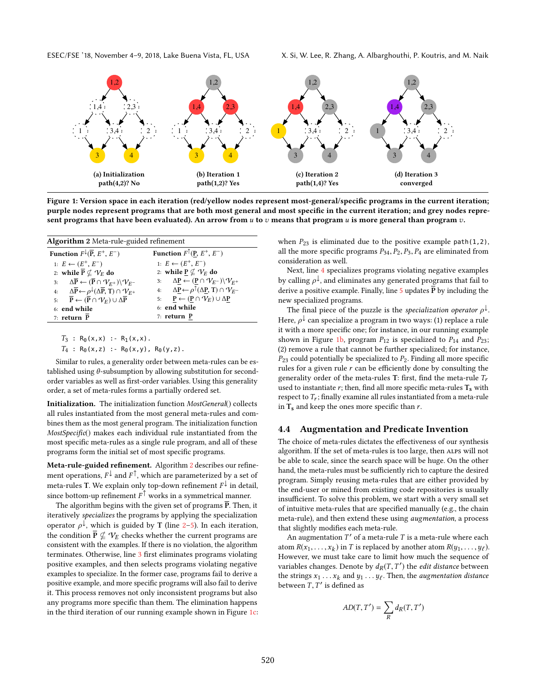<span id="page-5-1"></span>

ESEC/FSE '18, November 4–9, 2018, Lake Buena Vista, FL, USA X. Si, W. Lee, R. Zhang, A. Albarghouthi, P. Koutris, and M. Naik



Figure 1: Version space in each iteration (red/yellow nodes represent most-general/specific programs in the current iteration; purple nodes represent programs that are both most general and most specific in the current iteration; and grey nodes represent programs that have been evaluated). An arrow from  $u$  to  $v$  means that program  $u$  is more general than program  $v$ .

<span id="page-5-5"></span><span id="page-5-3"></span><span id="page-5-2"></span>

| <b>Algorithm 2</b> Meta-rule-guided refinement                                                                     |                                                                                  |  |  |  |  |  |
|--------------------------------------------------------------------------------------------------------------------|----------------------------------------------------------------------------------|--|--|--|--|--|
| <b>Function</b> $F^{\downarrow}(\overline{P}, E^+, E^-)$                                                           | <b>Function</b> $F^{\dagger}(\mathbf{P}, E^+, E^-)$                              |  |  |  |  |  |
| 1: $E \leftarrow (E^+, E^-)$                                                                                       | 1: $E \leftarrow (E^+, E^-)$                                                     |  |  |  |  |  |
| 2: while $\bar{P} \nsubseteq V_E$ do                                                                               | 2: while $\underline{P} \nsubseteq \mathcal{V}_E$ do                             |  |  |  |  |  |
| 3: $\Delta \overline{P} \leftarrow (\overline{P} \cap \mathcal{V}_{E^+}) \backslash \mathcal{V}_{E^-}$             | 3: $\Delta P \leftarrow (P \cap \mathcal{V}_{E^-}) \backslash \mathcal{V}_{E^+}$ |  |  |  |  |  |
| 4: $\Delta \overline{P} \leftarrow \rho^{\downarrow}(\Delta \overline{P}, T) \cap \mathcal{V}_{F^+}$               | 4: $\Delta P \leftarrow \rho^{\uparrow}(\Delta P, T) \cap \mathcal{V}_{E^-}$     |  |  |  |  |  |
| 5: $\overline{\mathbf{P}} \leftarrow (\overline{\mathbf{P}} \cap \mathcal{V}_E) \cup \Delta \overline{\mathbf{P}}$ | 5: $P \leftarrow (P \cap \mathcal{V}_F) \cup \Delta P$                           |  |  |  |  |  |
| 6: end while                                                                                                       | 6: end while                                                                     |  |  |  |  |  |
| 7: return P                                                                                                        | 7: $return P$                                                                    |  |  |  |  |  |

<span id="page-5-6"></span><span id="page-5-4"></span>
$$
T_3
$$
 :  $R_0(x,x)$  :  $R_1(x,x)$ .

 $T_4$  : R<sub>0</sub>(x,z) : - R<sub>0</sub>(x,y), R<sub>0</sub>(y,z).

Similar to rules, a generality order between meta-rules can be established using  $\theta$ -subsumption by allowing substitution for secondorder variables as well as first-order variables. Using this generality order, a set of meta-rules forms a partially ordered set.

Initialization. The initialization function MostGeneral() collects all rules instantiated from the most general meta-rules and combines them as the most general program. The initialization function MostSpecific() makes each individual rule instantiated from the most specific meta-rules as a single rule program, and all of these programs form the initial set of most specific programs.

Meta-rule-guided refinement. Algorithm [2](#page-5-2) describes our refinement operations,  $F^{\downarrow}$  and  $F^{\uparrow}$ , which are parameterized by a set of meta-rules T. We explain only top-down refinement  $F^\downarrow$  in detail, since bottom-up refinement  $F^\uparrow$  works in a symmetrical manner.

The algorithm begins with the given set of programs  $\overline{P}$ . Then, it iteratively specializes the programs by applying the specialization operator  $\rho^{\downarrow}$ , which is guided by T (line 2–[5\)](#page-5-4). In each iteration, the condition  $\bar{P} \nsubseteq V_E$  checks whether the current programs are consistent with the examples. If there is no violation, the algorithm terminates. Otherwise, line [3](#page-5-5) first eliminates programs violating positive examples, and then selects programs violating negative examples to specialize. In the former case, programs fail to derive a positive example, and more specific programs will also fail to derive it. This process removes not only inconsistent programs but also any programs more specific than them. The elimination happens in the third iteration of our running example shown in Figure [1c:](#page-5-1) when  $P_{23}$  is eliminated due to the positive example path(1,2), all the more specific programs  $P_{34}$ ,  $P_2$ ,  $P_3$ ,  $P_4$  are eliminated from consideration as well.

Next, line [4](#page-5-6) specializes programs violating negative examples by calling  $\rho^\downarrow$ , and eliminates any generated programs that fail to derive a positive example. Finally, line [5](#page-5-4) updates P by including the new specialized programs.

The final piece of the puzzle is the specialization operator  $\rho^{\downarrow}$ . Here,  $\rho^\downarrow$  can specialize a program in two ways: (1) replace a rule it with a more specific one; for instance, in our running example shown in Figure [1b,](#page-5-1) program  $P_{12}$  is specialized to  $P_{14}$  and  $P_{23}$ ; (2) remove a rule that cannot be further specialized; for instance,  $P_{23}$  could potentially be specialized to  $P_2$ . Finding all more specific rules for a given rule  $r$  can be efficiently done by consulting the generality order of the meta-rules T: first, find the meta-rule  $T_r$ used to instantiate r; then, find all more specific meta-rules  $T_s$  with respect to  $T_r$ ; finally examine all rules instantiated from a meta-rule in  $T_s$  and keep the ones more specific than r.

#### <span id="page-5-0"></span>4.4 Augmentation and Predicate Invention

The choice of meta-rules dictates the effectiveness of our synthesis algorithm. If the set of meta-rules is too large, then ALPS will not be able to scale, since the search space will be huge. On the other hand, the meta-rules must be sufficiently rich to capture the desired program. Simply reusing meta-rules that are either provided by the end-user or mined from existing code repositories is usually insufficient. To solve this problem, we start with a very small set of intuitive meta-rules that are specified manually (e.g., the chain meta-rule), and then extend these using augmentation, a process that slightly modifies each meta-rule.

An augmentation  $T'$  of a meta-rule  $T$  is a meta-rule where each atom  $R(x_1, ..., x_k)$  in T is replaced by another atom  $R(y_1, ..., y_\ell)$ . However, we must take care to limit how much the sequence of variables changes. Denote by  $d_R(T, T')$  the *edit distance* between the strings  $x_1 \ldots x_k$  and  $y_1 \ldots y_\ell$ . Then, the *augmentation distance* between  $T, T'$  is defined as

$$
AD(T, T') = \sum_{R} d_{R}(T, T')
$$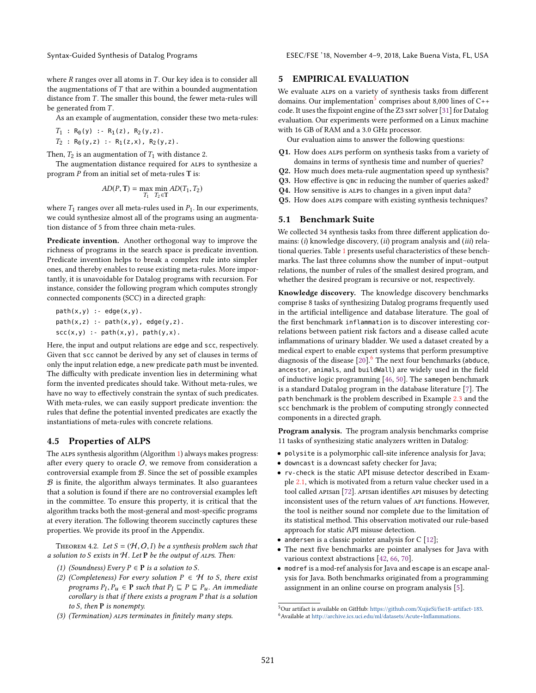where  $R$  ranges over all atoms in  $T$ . Our key idea is to consider all the augmentations of  $T$  that are within a bounded augmentation distance from  $T$ . The smaller this bound, the fewer meta-rules will be generated from T.

As an example of augmentation, consider these two meta-rules:

$$
T_1 : R_0(y) : R_1(z), R_2(y, z).
$$

 $T_2$  : R<sub>0</sub>(y,z) : - R<sub>1</sub>(z,x), R<sub>2</sub>(y,z).

Then,  $T_2$  is an augmentation of  $T_1$  with distance 2.

The augmentation distance required for ALPS to synthesize a program  $P$  from an initial set of meta-rules  $T$  is:

$$
AD(P, T) = \max_{T_1} \min_{T_2 \in T} AD(T_1, T_2)
$$

where  $T_1$  ranges over all meta-rules used in  $P_1$ . In our experiments, we could synthesize almost all of the programs using an augmentation distance of 5 from three chain meta-rules.

Predicate invention. Another orthogonal way to improve the richness of programs in the search space is predicate invention. Predicate invention helps to break a complex rule into simpler ones, and thereby enables to reuse existing meta-rules. More importantly, it is unavoidable for Datalog programs with recursion. For instance, consider the following program which computes strongly connected components (SCC) in a directed graph:

$$
path(x,y) :- edge(x,y).
$$
  
\n
$$
path(x,z) :- path(x,y), edge(y,z).
$$
  
\n
$$
scc(x,y) :- path(x,y), path(y,x).
$$

Here, the input and output relations are edge and scc, respectively. Given that scc cannot be derived by any set of clauses in terms of only the input relation edge, a new predicate path must be invented. The difficulty with predicate invention lies in determining what form the invented predicates should take. Without meta-rules, we have no way to effectively constrain the syntax of such predicates. With meta-rules, we can easily support predicate invention: the rules that define the potential invented predicates are exactly the instantiations of meta-rules with concrete relations.

# <span id="page-6-0"></span>4.5 Properties of ALPS

The ALPS synthesis algorithm (Algorithm [1\)](#page-4-3) always makes progress: after every query to oracle  $O$ , we remove from consideration a controversial example from B. Since the set of possible examples  $B$  is finite, the algorithm always terminates. It also guarantees that a solution is found if there are no controversial examples left in the committee. To ensure this property, it is critical that the algorithm tracks both the most-general and most-specific programs at every iteration. The following theorem succinctly captures these properties. We provide its proof in the Appendix.

<span id="page-6-3"></span>THEOREM 4.2. Let  $S = (\mathcal{H}, O, I)$  be a synthesis problem such that a solution to S exists in  $H$ . Let P be the output of ALPS. Then:

- (1) (Soundness) Every  $P \in \mathbf{P}$  is a solution to S.
- (2) (Completeness) For every solution  $P \in \mathcal{H}$  to S, there exist programs  $P_l$ ,  $P_u \in \mathbf{P}$  such that  $P_l \sqsubseteq P \sqsubseteq P_u$ . An immediate corollary is that if there exists a program P that is a solution to S, then P is nonempty.
- (3) (Termination) ALPS terminates in finitely many steps.

#### 5 EMPIRICAL EVALUATION

We evaluate ALPS on a variety of synthesis tasks from different domains. Our implementation<sup>[5](#page-6-1)</sup> comprises about 8,000 lines of C++ code. It uses the fixpoint engine of the Z3 sMT solver [\[31\]](#page-11-39) for Datalog evaluation. Our experiments were performed on a Linux machine with 16 GB of RAM and a 3.0 GHz processor.

Our evaluation aims to answer the following questions:

- Q1. How does alps perform on synthesis tasks from a variety of domains in terms of synthesis time and number of queries?
- Q2. How much does meta-rule augmentation speed up synthesis?
- Q3. How effective is  $\alpha$  or in reducing the number of queries asked?
- Q4. How sensitive is ALPS to changes in a given input data?
- Q5. How does alps compare with existing synthesis techniques?

### 5.1 Benchmark Suite

We collected 34 synthesis tasks from three different application domains: (i) knowledge discovery, (ii) program analysis and (iii) relational queries. Table [1](#page-7-0) presents useful characteristics of these benchmarks. The last three columns show the number of input-output relations, the number of rules of the smallest desired program, and whether the desired program is recursive or not, respectively.

Knowledge discovery. The knowledge discovery benchmarks comprise 8 tasks of synthesizing Datalog programs frequently used in the artificial intelligence and database literature. The goal of the first benchmark inflammation is to discover interesting correlations between patient risk factors and a disease called acute inflammations of urinary bladder. We used a dataset created by a medical expert to enable expert systems that perform presumptive diagnosis of the disease  $[20]$ .<sup>[6](#page-6-2)</sup> The next four benchmarks (abduce, ancestor, animals, and buildWall) are widely used in the field of inductive logic programming [\[46,](#page-11-41) [50\]](#page-11-25). The samegen benchmark is a standard Datalog program in the database literature [\[7\]](#page-11-42). The path benchmark is the problem described in Example [2.3](#page-2-4) and the scc benchmark is the problem of computing strongly connected components in a directed graph.

Program analysis. The program analysis benchmarks comprise 11 tasks of synthesizing static analyzers written in Datalog:

- polysite is a polymorphic call-site inference analysis for Java;
- downcast is a downcast safety checker for Java;
- rv-check is the static API misuse detector described in Example [2.1,](#page-1-0) which is motivated from a return value checker used in a tool called APISan [\[72\]](#page-12-5). APISan identifies API misuses by detecting inconsistent uses of the return values of api functions. However, the tool is neither sound nor complete due to the limitation of its statistical method. This observation motivated our rule-based approach for static API misuse detection.
- andersen is a classic pointer analysis for C [\[12\]](#page-11-43);
- The next five benchmarks are pointer analyses for Java with various context abstractions [\[42,](#page-11-44) [66,](#page-11-45) [70\]](#page-12-6).
- modref is a mod-ref analysis for Java and escape is an escape analysis for Java. Both benchmarks originated from a programming assignment in an online course on program analysis [\[5\]](#page-11-46).

<span id="page-6-2"></span><span id="page-6-1"></span> ${}^5$  Our artifact is available on GitHub: [https://github.com/XujieSi/fse18-artifact-183.](https://github.com/XujieSi/fse18-artifact-183)  $^6$  Available at [http://archive.ics.uci.edu/ml/datasets/Acute+Inflammations.](http://archive.ics.uci.edu/ml/datasets/Acute+Inflammations)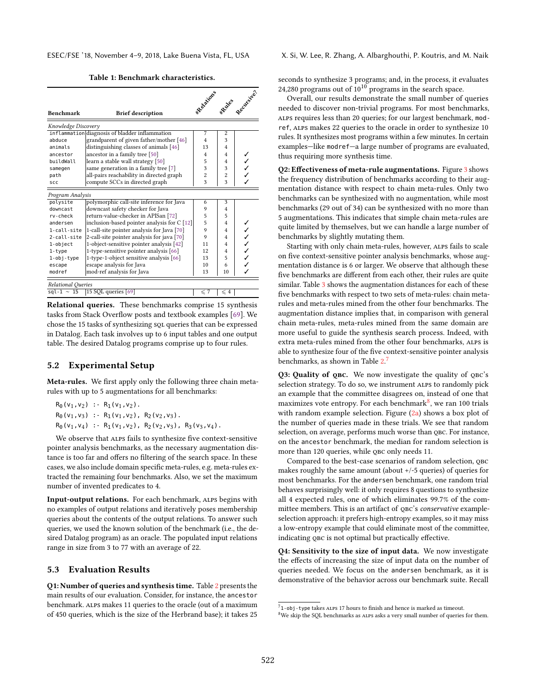<span id="page-7-0"></span>

|                     |                                                | <b>Relations</b> |                | Redies Recresive? |  |  |  |  |
|---------------------|------------------------------------------------|------------------|----------------|-------------------|--|--|--|--|
| Benchmark           | <b>Brief description</b>                       |                  |                |                   |  |  |  |  |
| Knowledge Discovery |                                                |                  |                |                   |  |  |  |  |
|                     | inflammation diagnosis of bladder inflammation | 7                | 2              |                   |  |  |  |  |
| abduce              | grandparent of given father/mother [46]        | $\overline{4}$   | 3              |                   |  |  |  |  |
| animals             | distinguishing classes of animals [46]         | 13               | 4              |                   |  |  |  |  |
| ancestor            | ancestor in a family tree [50]                 | $\overline{4}$   | $\overline{4}$ |                   |  |  |  |  |
| buildWall           | learn a stable wall strategy [50]              | 5                | 4              |                   |  |  |  |  |
| samegen             | same generation in a family tree [7]           | 3                | 3              |                   |  |  |  |  |
| path                | all-pairs reachability in directed graph       | $\overline{2}$   | $\overline{2}$ |                   |  |  |  |  |
| SCC                 | compute SCCs in directed graph                 | 3                | 3              |                   |  |  |  |  |
| Program Analysis    |                                                |                  |                |                   |  |  |  |  |
| polysite            | polymorphic call-site inference for Java       | 6                | 3              |                   |  |  |  |  |
| downcast            | downcast safety checker for Java               | 9                | 4              |                   |  |  |  |  |
| rv-check            | return-value-checker in APISan [72]            | 5                | 5              |                   |  |  |  |  |
| andersen            | inclusion-based pointer analysis for C [12]    | 5                | 4              |                   |  |  |  |  |
| 1-call-site         | 1-call-site pointer analysis for Java [70]     | 9                | 4              | ノノノノ              |  |  |  |  |
| 2-call-site         | 2-call-site pointer analysis for java [70]     | 9                | 4              |                   |  |  |  |  |
| $1$ -object         | 1-object-sensitive pointer analysis [42]       | 11               | 4              |                   |  |  |  |  |
| $1 - type$          | 1-type-sensitive pointer analysis [66]         | 12               | 4              |                   |  |  |  |  |
| $1$ -obj-type       | 1-type-1-object sensitive analysis [66]        | 13               | 5              |                   |  |  |  |  |
| escape              | escape analysis for Java                       | 10               | 6              |                   |  |  |  |  |
| modref              | mod-ref analysis for Java                      | 13               | 10             |                   |  |  |  |  |
| Relational Queries  |                                                |                  |                |                   |  |  |  |  |
| sql-1 $\sim$ 15     | 15 SQL queries [69]                            | $\leqslant 7$    | $\leqslant 4$  |                   |  |  |  |  |

Table 1: Benchmark characteristics.

Relational queries. These benchmarks comprise 15 synthesis tasks from Stack Overflow posts and textbook examples [\[69\]](#page-12-4). We chose the 15 tasks of synthesizing sql queries that can be expressed in Datalog. Each task involves up to 6 input tables and one output table. The desired Datalog programs comprise up to four rules.

# 5.2 Experimental Setup

Meta-rules. We first apply only the following three chain metarules with up to 5 augmentations for all benchmarks:

 $R_0(v_1,v_2)$  :-  $R_1(v_1,v_2)$ .  $R_0(v_1,v_3)$  :-  $R_1(v_1,v_2)$ ,  $R_2(v_2,v_3)$ .  $R_0(v_1,v_4)$  :  $R_1(v_1,v_2)$ ,  $R_2(v_2,v_3)$ ,  $R_3(v_3,v_4)$ .

We observe that ALPS fails to synthesize five context-sensitive pointer analysis benchmarks, as the necessary augmentation distance is too far and offers no filtering of the search space. In these cases, we also include domain specific meta-rules, e.g. meta-rules extracted the remaining four benchmarks. Also, we set the maximum number of invented predicates to 4.

Input-output relations. For each benchmark, ALPS begins with no examples of output relations and iteratively poses membership queries about the contents of the output relations. To answer such queries, we used the known solution of the benchmark (i.e., the desired Datalog program) as an oracle. The populated input relations range in size from 3 to 77 with an average of 22.

## 5.3 Evaluation Results

Q1: Number of queries and synthesis time. Table [2](#page-8-0) presents the main results of our evaluation. Consider, for instance, the ancestor benchmark. ALPS makes 11 queries to the oracle (out of a maximum of 450 queries, which is the size of the Herbrand base); it takes 25

#### ESEC/FSE '18, November 4–9, 2018, Lake Buena Vista, FL, USA X. Si, W. Lee, R. Zhang, A. Albarghouthi, P. Koutris, and M. Naik

seconds to synthesize 3 programs; and, in the process, it evaluates 24,280 programs out of  $10^{10}$  programs in the search space.

Overall, our results demonstrate the small number of queries needed to discover non-trivial programs. For most benchmarks, alps requires less than 20 queries; for our largest benchmark, modref, ALPS makes 22 queries to the oracle in order to synthesize 10 rules. It synthesizes most programs within a few minutes. In certain examples-like modref-a large number of programs are evaluated, thus requiring more synthesis time.

Q2: Effectiveness of meta-rule augmentations. Figure [3](#page-9-0) shows the frequency distribution of benchmarks according to their augmentation distance with respect to chain meta-rules. Only two benchmarks can be synthesized with no augmentation, while most benchmarks (29 out of 34) can be synthesized with no more than 5 augmentations. This indicates that simple chain meta-rules are quite limited by themselves, but we can handle a large number of benchmarks by slightly mutating them.

Starting with only chain meta-rules, however, ALPS fails to scale on five context-sensitive pointer analysis benchmarks, whose augmentation distance is 6 or larger. We observe that although these five benchmarks are different from each other, their rules are quite similar. Table [3](#page-9-1) shows the augmentation distances for each of these five benchmarks with respect to two sets of meta-rules: chain metarules and meta-rules mined from the other four benchmarks. The augmentation distance implies that, in comparison with general chain meta-rules, meta-rules mined from the same domain are more useful to guide the synthesis search process. Indeed, with extra meta-rules mined from the other four benchmarks, alps is able to synthesize four of the five context-sensitive pointer analysis benchmarks, as shown in Table [2.](#page-8-0)<sup>[7](#page-7-1)</sup>

Q3: Quality of QBC. We now investigate the quality of QBC's selection strategy. To do so, we instrument ALPS to randomly pick an example that the committee disagrees on, instead of one that maximizes vote entropy. For each benchmark<sup>[8](#page-7-2)</sup>, we ran 100 trials with random example selection. Figure  $(2a)$  shows a box plot of the number of queries made in these trials. We see that random selection, on average, performs much worse than OBC. For instance, on the ancestor benchmark, the median for random selection is more than 120 queries, while QBC only needs 11.

Compared to the best-case scenarios of random selection, QBC makes roughly the same amount (about +/-5 queries) of queries for most benchmarks. For the andersen benchmark, one random trial behaves surprisingly well: it only requires 8 questions to synthesize all 4 expected rules, one of which eliminates 99.7% of the committee members. This is an artifact of QBC's conservative exampleselection approach: it prefers high-entropy examples, so it may miss a low-entropy example that could eliminate most of the committee, indicating qbc is not optimal but practically effective.

Q4: Sensitivity to the size of input data. We now investigate the effects of increasing the size of input data on the number of queries needed. We focus on the andersen benchmark, as it is demonstrative of the behavior across our benchmark suite. Recall

<span id="page-7-1"></span> $7$ 1-obj-type takes ALPS 17 hours to finish and hence is marked as timeout.

<span id="page-7-2"></span> $^8\rm{We}$  skip the SQL benchmarks as <code>ALPS</code> asks a very small number of queries for them.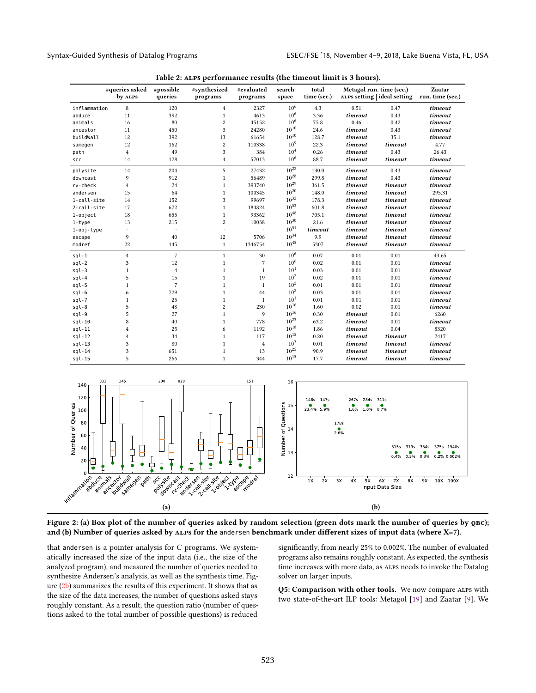<span id="page-8-0"></span>

|                         | #queries asked | #possible      | #synthesized  | #evaluated     | search              | total        | Metagol run. time (sec.)   |         | Zaatar                     |
|-------------------------|----------------|----------------|---------------|----------------|---------------------|--------------|----------------------------|---------|----------------------------|
|                         | by ALPS        | queries        | programs      | programs       | space               | time (sec.)  | ALPS setting ideal setting |         | run. time (sec.)           |
| inflammation            | 8              | 120            | $\,4\,$       | 2327           | 10 <sup>6</sup>     | 4.3          | 0.51                       | 0.47    | timeout                    |
| abduce                  | 11             | 392            | $1\,$         | 4613           | 10 <sup>6</sup>     | 3.36         | timeout                    | 0.43    | timeout                    |
| animals                 | 16             | 80             | $\sqrt{2}$    | 45152          | 10 <sup>6</sup>     | 75.8         | 0.46                       | 0.42    | timeout                    |
| ancestor                | 11             | 450            | 3             | 24280          | $10^{10}\,$         | 24.6         | timeout                    | 0.43    | timeout                    |
| buildWall               | 12             | 392            | 13            | 61654          | $10^{10}$           | 128.7        | timeout                    | 35.1    | timeout                    |
| samegen                 | 12             | 162            | $\sqrt{2}$    | 110338         | 10 <sup>9</sup>     | 22.3         | timeout                    | timeout | 4.77                       |
| path                    | $\overline{4}$ | 49             | 3             | 384            | $10^{4}$            | 0.26         | timeout                    | 0.43    | 26.43                      |
| <b>SCC</b>              | 14             | 128            | $\bf{4}$      | 57013          | $10^{6}$            | 88.7         | timeout                    | timeout | timeout                    |
| polysite                | 14             | 204            | 5             | 27432          | $10^{22}$           | 130.0        | timeout                    | 0.43    | timeout                    |
| downcast                | 9              | 912            | $1\,$         | 56489          | $10^{28}\,$         | 299.8        | timeout                    | 0.43    | timeout                    |
| rv-check                | $\overline{4}$ | 24             | $1\,$         | 393740         | $10^{29}$           | 361.5        | timeout                    | timeout | timeout                    |
| andersen                | 15             | 64             | $\mathbf{1}$  | 100345         | $10^{20}$           | 148.0        | timeout                    | timeout | 295.31                     |
| 1-call-site             | 14             | 152            | $\sqrt{3}$    | 99697          | $10^{32}$           | 178.3        | timeout                    | timeout | timeout                    |
| 2-call-site             | 17             | 672            | $1\,$         | 184824         | $10^{53}$           | 601.8        | timeout                    | timeout | timeout                    |
| 1-object                | 18             | 655            | $1\,$         | 93362          | $10^{48}$           | 705.1        | timeout                    | timeout | timeout                    |
| 1-type                  | 13             | 215            | $\sqrt{2}$    | 10038          | $10^{30}$           | 21.6         | timeout                    | timeout | timeout                    |
| $1$ -obj-type           | $\overline{a}$ | $\overline{a}$ | $\frac{1}{2}$ | J.             | $10^{51}$           | timeout      | timeout                    | timeout | timeout                    |
| escape                  | 9              | 40             | 12            | 5706           | $10^{34}$           | 9.9          | timeout                    | timeout | timeout                    |
| modref                  | 22             | 145            | $\,1\,$       | 1346754        | $10^{45}$           | 5307         | timeout                    | timeout | timeout                    |
| $sql-1$                 | $\overline{4}$ | $\overline{7}$ | $1\,$         | 30             | 10 <sup>6</sup>     | 0.07         | 0.01                       | 0.01    | 43.65                      |
| $sal-2$                 | 3              | 12             | $\mathbf{1}$  | $\overline{7}$ | 10 <sup>6</sup>     | 0.02         | 0.01                       | 0.01    | timeout                    |
| $sql-3$                 | $\mathbf{1}$   | $\overline{4}$ | $1\,$         | $\mathbf{1}$   | $10^{1}$            | 0.03         | 0.01                       | 0.01    | timeout                    |
| $sql-4$                 | 5              | 15             | $\mathbf{1}$  | 19             | $10^{2}$            | 0.02         | 0.01                       | 0.01    | timeout                    |
| $sql-5$                 | $\mathbf 1$    | $\overline{7}$ | $\mathbf{1}$  | $\mathbf{1}$   | $10^{2}$            | 0.01         | 0.01                       | 0.01    | timeout                    |
| $sql-6$                 | 6              | 729            | $\mathbf{1}$  | 44             | $10^{2}$            | 0.03         | 0.01                       | 0.01    | timeout                    |
| sql-7                   | $\mathbf{1}$   | 25             | $1\,$         | $\mathbf{1}$   | $10^{1}$            | 0.01         | 0.01                       | 0.01    | timeout                    |
| $sql-8$                 | 5              | 48             | $\sqrt{2}$    | 230            | $10^{16}$           | 1.60         | 0.02                       | 0.01    | timeout                    |
| $sal-9$                 | 5              | 27             | $\mathbf{1}$  | 9              | $10^{16}$           | 0.30         | timeout                    | 0.01    | 6260                       |
| $sql-10$                | 8              | 40             | $1\,$         | 778            | $10^{23}$           | 63.2         | timeout                    | 0.01    | timeout                    |
| $sql-11$                | 4              | 25             | 6             | 1192           | $10^{18}\,$         | 1.86         | timeout                    | 0.04    | 8320                       |
| $sal-12$                | $\overline{4}$ | 34             | $\mathbf{1}$  | 117            | $10^{15}\,$         | 0.20         | timeout                    | timeout | 2417                       |
| $sql-13$                | 3              | 80             | $\,1\,$       | $\overline{4}$ | $10^{3}$            | 0.01         | timeout                    | timeout | timeout                    |
| $sql-14$                | 3              | 651            | $1\,$         | 13             | $10^{25}$           | 90.9         | timeout                    | timeout | timeout                    |
| $sql-15$                | 5              | 266            | $\mathbf{1}$  | 344            | $10^{15}$           | 17.7         | timeout                    | timeout | timeout                    |
|                         |                |                |               |                |                     |              |                            |         |                            |
| 333<br>140              | 345            | 280<br>820     |               | 151            | 16                  |              |                            |         |                            |
|                         |                |                |               |                |                     |              |                            |         |                            |
| 120                     |                |                |               |                |                     | 148s<br>147s | 267s<br>284s 311s          |         |                            |
|                         |                |                |               |                | 15                  |              |                            |         |                            |
| 100                     |                |                |               |                |                     | 23.4% 5.9%   | 10% 07%<br>1.6%            |         |                            |
|                         |                |                |               |                |                     |              |                            |         |                            |
| 80                      |                |                |               |                | 14                  |              | 178s                       |         |                            |
| 60                      |                |                |               |                |                     |              | 2.6%                       |         |                            |
|                         |                |                |               |                |                     |              |                            |         |                            |
| Number of Queries<br>40 |                |                |               |                | Number of Questions |              |                            | 315s    | 319s 334s<br>375s 1940s    |
|                         |                |                |               |                | 13                  |              |                            |         | 0.4% 0.3% 0.3% 0.2% 0.002% |
| 20                      |                |                |               |                |                     |              |                            |         |                            |

Table 2: ALPS performance results (the timeout limit is 3 hours).

<span id="page-8-1"></span>

site oct Pct cype

Joe rio

Rnodret

 $(a)$  (b)

 $\frac{1}{2}$  $\frac{1}{3}$   $4X$  $5x$  $6x$  $7x$  $_{8x}$  $9x$ 

that andersen is a pointer analysis for C programs. We systematically increased the size of the input data (i.e., the size of the analyzed program), and measured the number of queries needed to synthesize Andersen's analysis, as well as the synthesis time. Figure [\(2b\)](#page-8-1) summarizes the results of this experiment. It shows that as the size of the data increases, the number of questions asked stays roughly constant. As a result, the question ratio (number of questions asked to the total number of possible questions) is reduced

C sixe cas

inect-se

**ESSENT** 

significantly, from nearly 25% to 0.002%. The number of evaluated programs also remains roughly constant. As expected, the synthesis time increases with more data, as ALPS needs to invoke the Datalog solver on larger inputs.

Input Data Size

 $10X$   $100X$ 

Q5: Comparison with other tools. We now compare alps with two state-of-the-art ILP tools: Metagol [\[19\]](#page-11-30) and Zaatar [\[9\]](#page-11-24). We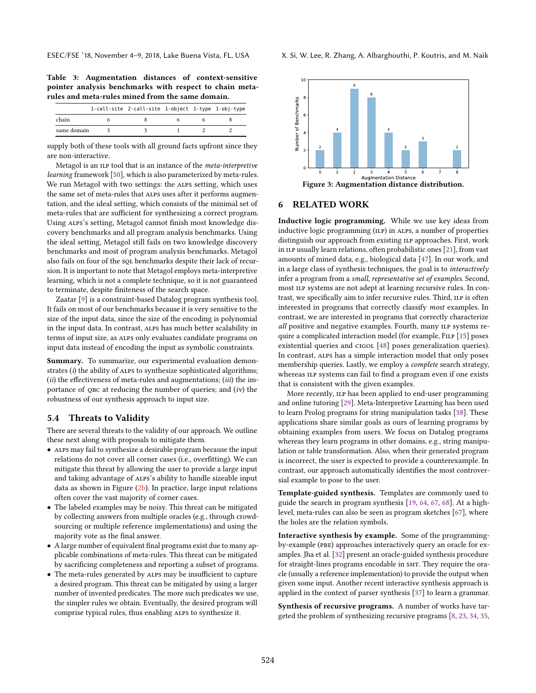<span id="page-9-1"></span>Table 3: Augmentation distances of context-sensitive pointer analysis benchmarks with respect to chain metarules and meta-rules mined from the same domain.

|             | 1-call-site 2-call-site 1-object 1-type 1-obj-type |  |  |
|-------------|----------------------------------------------------|--|--|
| chain       |                                                    |  |  |
| same domain |                                                    |  |  |

supply both of these tools with all ground facts upfront since they are non-interactive.

Metagol is an ILP tool that is an instance of the *meta-interpretive* learning framework [\[50\]](#page-11-25), which is also parameterized by meta-rules. We run Metagol with two settings: the ALPS setting, which uses the same set of meta-rules that ALPS uses after it performs augmentation, and the ideal setting, which consists of the minimal set of meta-rules that are sufficient for synthesizing a correct program. Using ALPS's setting, Metagol cannot finish most knowledge discovery benchmarks and all program analysis benchmarks. Using the ideal setting, Metagol still fails on two knowledge discovery benchmarks and most of program analysis benchmarks. Metagol also fails on four of the sql benchmarks despite their lack of recursion. It is important to note that Metagol employs meta-interpretive learning, which is not a complete technique, so it is not guaranteed to terminate, despite finiteness of the search space.

Zaatar [\[9\]](#page-11-24) is a constraint-based Datalog program synthesis tool. It fails on most of our benchmarks because it is very sensitive to the size of the input data, since the size of the encoding is polynomial in the input data. In contrast, ALPS has much better scalability in terms of input size, as ALPS only evaluates candidate programs on input data instead of encoding the input as symbolic constraints.

Summary. To summarize, our experimental evaluation demonstrates  $(i)$  the ability of ALPS to synthesize sophisticated algorithms; (ii) the effectiveness of meta-rules and augmentations; (iii) the importance of  $QBC$  at reducing the number of queries; and  $(iv)$  the robustness of our synthesis approach to input size.

#### 5.4 Threats to Validity

There are several threats to the validity of our approach. We outline these next along with proposals to mitigate them.

- ALPS may fail to synthesize a desirable program because the input relations do not cover all corner cases (i.e., overfitting). We can mitigate this threat by allowing the user to provide a large input and taking advantage of alps's ability to handle sizeable input data as shown in Figure [\(2b\)](#page-8-1). In practice, large input relations often cover the vast majority of corner cases.
- The labeled examples may be noisy. This threat can be mitigated by collecting answers from multiple oracles (e.g., through crowdsourcing or multiple reference implementations) and using the majority vote as the final answer.
- A large number of equivalent final programs exist due to many applicable combinations of meta-rules. This threat can be mitigated by sacrificing completeness and reporting a subset of programs.
- The meta-rules generated by ALPS may be insufficient to capture a desired program. This threat can be mitigated by using a larger number of invented predicates. The more such predicates we use, the simpler rules we obtain. Eventually, the desired program will comprise typical rules, thus enabling alps to synthesize it.

<span id="page-9-0"></span>

#### 6 RELATED WORK

Inductive logic programming. While we use key ideas from inductive logic programming (ILP) in ALPS, a number of properties distinguish our approach from existing ILP approaches. First, work in ILP usually learn relations, often probabilistic ones [\[21\]](#page-11-47), from vast amounts of mined data, e.g., biological data [\[47\]](#page-11-48). In our work, and in a large class of synthesis techniques, the goal is to interactively infer a program from a small, representative set of examples. Second, most ilp systems are not adept at learning recursive rules. In contrast, we specifically aim to infer recursive rules. Third, ILP is often interested in programs that correctly classify most examples. In contrast, we are interested in programs that correctly characterize all positive and negative examples. Fourth, many ILP systems re-quire a complicated interaction model (for example, FILP [\[15\]](#page-11-49) poses existential queries and cigol [\[48\]](#page-11-50) poses generalization queries). In contrast, ALPS has a simple interaction model that only poses membership queries. Lastly, we employ a complete search strategy, whereas ILP systems can fail to find a program even if one exists that is consistent with the given examples.

More recently, ILP has been applied to end-user programming and online tutoring [\[29\]](#page-11-51). Meta-Interpretive Learning has been used to learn Prolog programs for string manipulation tasks [\[38\]](#page-11-52). These applications share similar goals as ours of learning programs by obtaining examples from users. We focus on Datalog programs whereas they learn programs in other domains, e.g., string manipulation or table transformation. Also, when their generated program is incorrect, the user is expected to provide a counterexample. In contrast, our approach automatically identifies the most controversial example to pose to the user.

Template-guided synthesis. Templates are commonly used to guide the search in program synthesis [\[19,](#page-11-30) [64,](#page-11-53) [67,](#page-11-54) [68\]](#page-12-7). At a highlevel, meta-rules can also be seen as program sketches [\[67\]](#page-11-54), where the holes are the relation symbols.

Interactive synthesis by example. Some of the programmingby-example (pbe) approaches interactively query an oracle for examples. Jha et al. [\[32\]](#page-11-55) present an oracle-guided synthesis procedure for straight-lines programs encodable in smr. They require the oracle (usually a reference implementation) to provide the output when given some input. Another recent interactive synthesis approach is applied in the context of parser synthesis [\[37\]](#page-11-56) to learn a grammar.

Synthesis of recursive programs. A number of works have targeted the problem of synthesizing recursive programs [\[8,](#page-11-57) [23,](#page-11-58) [34,](#page-11-59) [35,](#page-11-60)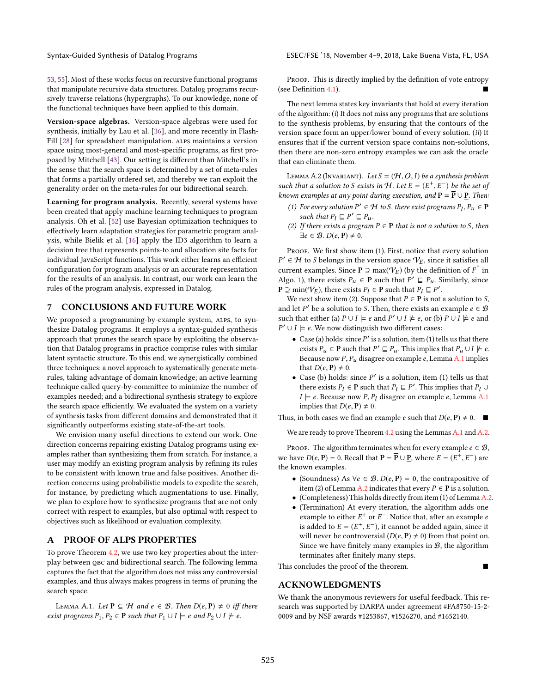[53,](#page-11-61) [55\]](#page-11-62). Most of these works focus on recursive functional programs that manipulate recursive data structures. Datalog programs recursively traverse relations (hypergraphs). To our knowledge, none of the functional techniques have been applied to this domain.

Version-space algebras. Version-space algebras were used for synthesis, initially by Lau et al. [\[36\]](#page-11-63), and more recently in Flash-Fill [\[28\]](#page-11-64) for spreadsheet manipulation. ALPS maintains a version space using most-general and most-specific programs, as first proposed by Mitchell [\[43\]](#page-11-29). Our setting is different than Mitchell's in the sense that the search space is determined by a set of meta-rules that forms a partially ordered set, and thereby we can exploit the generality order on the meta-rules for our bidirectional search.

Learning for program analysis. Recently, several systems have been created that apply machine learning techniques to program analysis. Oh et al. [\[52\]](#page-11-65) use Bayesian optimization techniques to effectively learn adaptation strategies for parametric program analysis, while Bielik et al. [\[16\]](#page-11-66) apply the ID3 algorithm to learn a decision tree that represents points-to and allocation site facts for individual JavaScript functions. This work either learns an efficient configuration for program analysis or an accurate representation for the results of an analysis. In contrast, our work can learn the rules of the program analysis, expressed in Datalog.

# 7 CONCLUSIONS AND FUTURE WORK

We proposed a programming-by-example system, ALPS, to synthesize Datalog programs. It employs a syntax-guided synthesis approach that prunes the search space by exploiting the observation that Datalog programs in practice comprise rules with similar latent syntactic structure. To this end, we synergistically combined three techniques: a novel approach to systematically generate metarules, taking advantage of domain knowledge; an active learning technique called query-by-committee to minimize the number of examples needed; and a bidirectional synthesis strategy to explore the search space efficiently. We evaluated the system on a variety of synthesis tasks from different domains and demonstrated that it significantly outperforms existing state-of-the-art tools.

We envision many useful directions to extend our work. One direction concerns repairing existing Datalog programs using examples rather than synthesizing them from scratch. For instance, a user may modify an existing program analysis by refining its rules to be consistent with known true and false positives. Another direction concerns using probabilistic models to expedite the search, for instance, by predicting which augmentations to use. Finally, we plan to explore how to synthesize programs that are not only correct with respect to examples, but also optimal with respect to objectives such as likelihood or evaluation complexity.

# A PROOF OF ALPS PROPERTIES

To prove Theorem [4.2,](#page-6-3) we use two key properties about the interplay between QBC and bidirectional search. The following lemma captures the fact that the algorithm does not miss any controversial examples, and thus always makes progress in terms of pruning the search space.

<span id="page-10-0"></span>LEMMA A.1. Let  $P \subseteq H$  and  $e \in B$ . Then  $D(e, P) \neq 0$  iff there exist programs  $P_1, P_2 \in \mathbf{P}$  such that  $P_1 \cup I \models e$  and  $P_2 \cup I \not\models e$ .

Syntax-Guided Synthesis of Datalog Programs ESEC/FSE '18, November 4–9, 2018, Lake Buena Vista, FL, USA

PROOF. This is directly implied by the definition of vote entropy (see Definition  $4.1$ ).

The next lemma states key invariants that hold at every iteration of the algorithm: (i) It does not miss any programs that are solutions to the synthesis problems, by ensuring that the contours of the version space form an upper/lower bound of every solution. (ii) It ensures that if the current version space contains non-solutions, then there are non-zero entropy examples we can ask the oracle that can eliminate them.

<span id="page-10-1"></span>LEMMA A.2 (INVARIANT). Let  $S = (\mathcal{H}, O, I)$  be a synthesis problem such that a solution to S exists in  $H$ . Let  $E = (E^+, E^-)$  be the set of known examples at any point during execution, and  $P = \overline{P} \cup P$ . Then:

- (1) For every solution  $P' \in \mathcal{H}$  to S, there exist programs  $P_l, P_u \in \mathbf{P}$ such that  $P_l \sqsubseteq P' \sqsubseteq P_u$ .
- (2) If there exists a program  $P \in \mathbf{P}$  that is not a solution to S, then  $\exists e \in \mathcal{B}$ .  $D(e, P) \neq 0$ .

PROOF. We first show item (1). First, notice that every solution  $P' \in \mathcal{H}$  to  $S$  belongs in the version space  $\mathcal{V}_E$  , since it satisfies all current examples. Since  $\textbf{P} \supseteq \max(\mathcal{V}_E)$  (by the definition of  $F^\uparrow$  in Algo. [1\)](#page-4-3), there exists  $P_u \in \mathbf{P}$  such that  $P' \sqsubseteq P_u$ . Similarly, since **P** ⊇ min( $V$ E), there exists  $P$ [ ∈ **P** such that  $P$ [ ⊆  $P'$ .

We next show item (2). Suppose that  $P \in \mathbf{P}$  is not a solution to S, and let P' be a solution to S. Then, there exists an example  $e \in \mathcal{B}$ such that either (a)  $P \cup I \models e$  and  $P' \cup I \not\models e$ , or (b)  $P \cup I \not\models e$  and  $P'$  ∪  $I$   $\models$  e. We now distinguish two different cases:

- Case (a) holds: since  $P'$  is a solution, item (1) tells us that there exists  $P_u \in \mathbf{P}$  such that  $P' \sqsubseteq P_u$ . This implies that  $P_u \cup I \not\models e$ . Because now  $P$ ,  $P_u$  disagree on example e, Lemma [A.1](#page-10-0) implies that  $D(e, P) \neq 0$ .
- Case (b) holds: since  $P'$  is a solution, item (1) tells us that there exists  $P_l \in \mathbf{P}$  such that  $P_l \sqsubseteq P'$ . This implies that  $P_l \cup$  $I \models e$ . Because now P, P<sub>l</sub> disagree on example e, Lemma [A.1](#page-10-0) implies that  $D(e, P) \neq 0$ .

Thus, in both cases we find an example *e* such that  $D(e, P) \neq 0$ .

We are ready to prove Theorem [4.2](#page-6-3) using the Lemmas [A.1](#page-10-0) and [A.2.](#page-10-1)

PROOF. The algorithm terminates when for every example  $e \in \mathcal{B}$ , we have  $D(e, P) = 0$ . Recall that  $P = \overline{P} \cup \underline{P}$ , where  $E = (E^+, E^-)$  are the known examples.

- (Soundness) As  $\forall e \in \mathcal{B}$ .  $D(e, P) = 0$ , the contrapositive of item (2) of Lemma [A.2](#page-10-1) indicates that every  $P \in \mathbf{P}$  is a solution.
- $\bullet$  (Completeness) This holds directly from item (1) of Lemma [A.2.](#page-10-1) • (Termination) At every iteration, the algorithm adds one example to either  $E^+$  or  $E^-$ . Notice that, after an example e
- is added to  $E = (E^+, E^-)$ , it cannot be added again, since it will never be controversial  $(D(e, P) \neq 0)$  from that point on. Since we have finitely many examples in  $B$ , the algorithm terminates after finitely many steps.

This concludes the proof of the theorem. ■

# ACKNOWLEDGMENTS

We thank the anonymous reviewers for useful feedback. This research was supported by DARPA under agreement #FA8750-15-2- 0009 and by NSF awards #1253867, #1526270, and #1652140.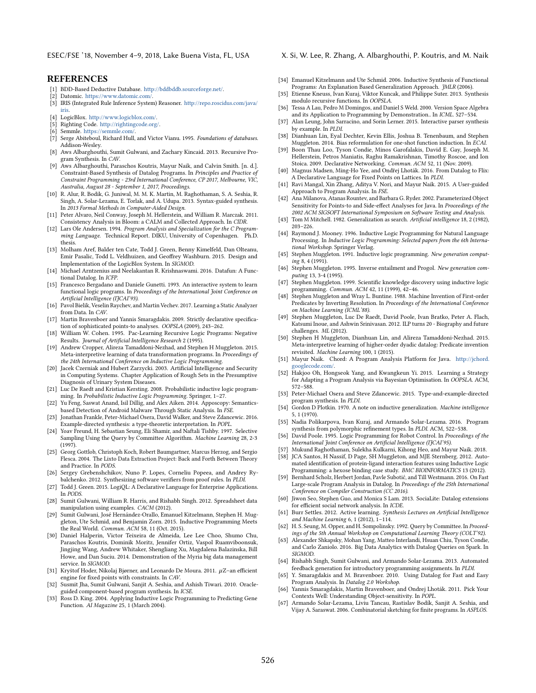ESEC/FSE '18, November 4–9, 2018, Lake Buena Vista, FL, USA X. Si, W. Lee, R. Zhang, A. Albarghouthi, P. Koutris, and M. Naik

### **REFERENCES**

- <span id="page-11-10"></span>[1] BDD-Based Deductive Database. [http://bddbddb.sourceforge.net/.](http://bddbddb.sourceforge.net/)
- <span id="page-11-14"></span>Datomic. https://www.datomic.com/
- <span id="page-11-11"></span>[3] IRIS (Integrated Rule Inference System) Reasoner. [http://repo.roscidus.com/java/](http://repo.roscidus.com/java/iris) [iris.](http://repo.roscidus.com/java/iris)
- <span id="page-11-46"></span><span id="page-11-15"></span>[4] LogicBlox. [http://www.logicblox.com/.](http://www.logicblox.com/) Righting Code. [http://rightingcode.org/.](http://rightingcode.org/)
- <span id="page-11-16"></span>[6] Semmle. [https://semmle.com/.](https://semmle.com/)
- <span id="page-11-42"></span>[7] Serge Abiteboul, Richard Hull, and Victor Vianu. 1995. Foundations of databases. Addison-Wesley.
- <span id="page-11-57"></span>[8] Aws Albarghouthi, Sumit Gulwani, and Zachary Kincaid. 2013. Recursive Program Synthesis. In CAV.
- <span id="page-11-24"></span>[9] Aws Albarghouthi, Paraschos Koutris, Mayur Naik, and Calvin Smith. [n. d.]. Constraint-Based Synthesis of Datalog Programs. In Principles and Practice of Constraint Programming - 23rd International Conference, CP 2017, Melbourne, VIC, Australia, August 28 - September 1, 2017, Proceedings.
- <span id="page-11-26"></span>[10] R. Alur, R. Bodik, G. Juniwal, M. M. K. Martin, M. Raghothaman, S. A. Seshia, R. Singh, A. Solar-Lezama, E. Torlak, and A. Udupa. 2013. Syntax-guided synthesis. In 2013 Formal Methods in Computer-Aided Design.
- <span id="page-11-12"></span>[11] Peter Alvaro, Neil Conway, Joseph M. Hellerstein, and William R. Marczak. 2011. Consistency Analysis in Bloom: a CALM and Collected Approach. In CIDR.
- <span id="page-11-43"></span>[12] Lars Ole Andersen. 1994. Program Analysis and Specialization for the C Programming Language. Technical Report. DIKU, University of Copenhagen. Ph.D. thesis.
- <span id="page-11-34"></span>[13] Molham Aref, Balder ten Cate, Todd J. Green, Benny Kimelfeld, Dan Olteanu, Emir Pasalic, Todd L. Veldhuizen, and Geoffrey Washburn. 2015. Design and Implementation of the LogicBlox System. In SIGMOD.
- <span id="page-11-18"></span>[14] Michael Arntzenius and Neelakantan R. Krishnaswami. 2016. Datafun: A Functional Datalog. In ICFP.
- <span id="page-11-49"></span>[15] Francesco Bergadano and Daniele Gunetti. 1993. An interactive system to learn functional logic programs. In Proceedings of the International Joint Conference on Artificial Intelligence (IJCAI'93).
- <span id="page-11-66"></span>[16] Pavol Bielik, Veselin Raychev, and Martin Vechev. 2017. Learning a Static Analyzer from Data. In CAV.
- <span id="page-11-7"></span>[17] Martin Bravenboer and Yannis Smaragdakis. 2009. Strictly declarative specification of sophisticated points-to analyses.  $OOPSLA$  (2009), 243–262.
- <span id="page-11-36"></span>[18] William W. Cohen. 1995. Pac-Learning Recursive Logic Programs: Negative Results. Journal of Artificial Intelligence Research 2 (1995).
- <span id="page-11-30"></span>[19] Andrew Cropper, Alireza Tamaddoni-Nezhad, and Stephen H Muggleton. 2015. Meta-interpretive learning of data transformation programs. In Proceedings of the 24th International Conference on Inductive Logic Programming.
- <span id="page-11-40"></span>[20] Jacek Czerniak and Hubert Zarzycki. 2003. Artificial Intelligence and Security in Computing Systems. Chapter Application of Rough Sets in the Presumptive Diagnosis of Urinary System Diseases.
- <span id="page-11-47"></span>[21] Luc De Raedt and Kristian Kersting. 2008. Probabilistic inductive logic programming. In Probabilistic Inductive Logic Programming. Springer, 1-27.
- <span id="page-11-31"></span>[22] Yu Feng, Saswat Anand, Isil Dillig, and Alex Aiken. 2014. Apposcopy: Semanticsbased Detection of Android Malware Through Static Analysis. In FSE.
- <span id="page-11-58"></span>[23] Jonathan Frankle, Peter-Michael Osera, David Walker, and Steve Zdancewic. 2016. Example-directed synthesis: a type-theoretic interpretation. In POPL.
- <span id="page-11-27"></span>[24] Yoav Freund, H. Sebastian Seung, Eli Shamir, and Naftali Tishby. 1997. Selective Sampling Using the Query by Committee Algorithm. Machine Learning 28, 2-3 (1997).
- <span id="page-11-17"></span>[25] Georg Gottlob, Christoph Koch, Robert Baumgartner, Marcus Herzog, and Sergio Flesca. 2004. The Lixto Data Extraction Project: Back and Forth Between Theory and Practice. In PODS.
- <span id="page-11-8"></span>[26] Sergey Grebenshchikov, Nuno P. Lopes, Corneliu Popeea, and Andrey Rybalchenko. 2012. Synthesizing software verifiers from proof rules. In PLDI.
- <span id="page-11-35"></span>[27] Todd J. Green. 2015. LogiQL: A Declarative Language for Enterprise Applications. In PODS.
- <span id="page-11-64"></span>[28] Sumit Gulwani, William R. Harris, and Rishabh Singh. 2012. Spreadsheet data manipulation using examples. CACM (2012).
- <span id="page-11-51"></span>[29] Sumit Gulwani, José Hernández-Orallo, Emanuel Kitzelmann, Stephen H. Muggleton, Ute Schmid, and Benjamin Zorn. 2015. Inductive Programming Meets the Real World. Commun. ACM 58, 11 (Oct. 2015).
- <span id="page-11-2"></span>[30] Daniel Halperin, Victor Teixeira de Almeida, Lee Lee Choo, Shumo Chu, Paraschos Koutris, Dominik Moritz, Jennifer Ortiz, Vaspol Ruamviboonsuk, Jingjing Wang, Andrew Whitaker, Shengliang Xu, Magdalena Balazinska, Bill Howe, and Dan Suciu. 2014. Demonstration of the Myria big data management service. In SIGMOD.
- <span id="page-11-39"></span>[31] Kryštof Hoder, Nikolaj Bjørner, and Leonardo De Moura. 2011.  $\mu$ Z-an efficient engine for fixed points with constraints. In CAV.
- <span id="page-11-55"></span>[32] Susmit Jha, Sumit Gulwani, Sanjit A. Seshia, and Ashish Tiwari. 2010. Oracleguided component-based program synthesis. In ICSE.
- <span id="page-11-0"></span>[33] Ross D. King. 2004. Applying Inductive Logic Programming to Predicting Gene Function. AI Magazine 25, 1 (March 2004).
- <span id="page-11-59"></span>[34] Emanuel Kitzelmann and Ute Schmid. 2006. Inductive Synthesis of Functional Programs: An Explanation Based Generalization Approach. JMLR (2006).
- <span id="page-11-60"></span>[35] Etienne Kneuss, Ivan Kuraj, Viktor Kuncak, and Philippe Suter. 2013. Synthesis modulo recursive functions. In OOPSLA.
- <span id="page-11-63"></span>[36] Tessa A Lau, Pedro M Domingos, and Daniel S Weld. 2000. Version Space Algebra and its Application to Programming by Demonstration.. In ICML. 527-534.
- <span id="page-11-56"></span>[37] Alan Leung, John Sarracino, and Sorin Lerner. 2015. Interactive parser synthesis by example. In PLDI.
- <span id="page-11-52"></span>[38] Dianhuan Lin, Eyal Dechter, Kevin Ellis, Joshua B. Tenenbaum, and Stephen Muggleton. 2014. Bias reformulation for one-shot function induction. In ECAI.
- <span id="page-11-6"></span>[39] Boon Thau Loo, Tyson Condie, Minos Garofalakis, David E. Gay, Joseph M. Hellerstein, Petros Maniatis, Raghu Ramakrishnan, Timothy Roscoe, and Ion Stoica. 2009. Declarative Networking. Commun. ACM 52, 11 (Nov. 2009).
- <span id="page-11-19"></span>[40] Magnus Madsen, Ming-Ho Yee, and Ondřej Lhoták. 2016. From Datalog to Flix: A Declarative Language for Fixed Points on Lattices. In PLDI.
- <span id="page-11-20"></span>[41] Ravi Mangal, Xin Zhang, Aditya V. Nori, and Mayur Naik. 2015. A User-guided Approach to Program Analysis. In FSE.
- <span id="page-11-44"></span>[42] Ana Milanova, Atanas Rountev, and Barbara G. Ryder. 2002. Parameterized Object Sensitivity for Points-to and Side-effect Analyses for Java. In Proceedings of the 2002 ACM SIGSOFT International Symposium on Software Testing and Analysis.
- <span id="page-11-29"></span>[43] Tom M Mitchell. 1982. Generalization as search. Artificial intelligence 18, 2 (1982),  $203 - 226$
- <span id="page-11-5"></span>[44] Raymond J. Mooney. 1996. Inductive Logic Programming for Natural Language Processing. In Inductive Logic Programming: Selected papers from the 6th International Workshop. Springer Verlag.
- <span id="page-11-22"></span>[45] Stephen Muggleton. 1991. Inductive logic programming. New generation computing 8, 4 (1991).
- <span id="page-11-41"></span>[46] Stephen Muggleton. 1995. Inverse entailment and Progol. New generation computing 13, 3-4 (1995).
- <span id="page-11-48"></span>[47] Stephen Muggleton. 1999. Scientific knowledge discovery using inductive logic programming. Commun. ACM 42, 11 (1999), 42-46.
- <span id="page-11-50"></span>[48] Stephen Muggleton and Wray L. Buntine. 1988. Machine Invention of First-order Predicates by Inverting Resolution. In Proceedings of the International Conference on Machine Learning (ICML'88).
- <span id="page-11-23"></span>[49] Stephen Muggleton, Luc De Raedt, David Poole, Ivan Bratko, Peter A. Flach, Katsumi Inoue, and Ashwin Srinivasan. 2012. ILP turns 20 - Biography and future challenges. ML (2012).
- <span id="page-11-25"></span>[50] Stephen H Muggleton, Dianhuan Lin, and Alireza Tamaddoni-Nezhad. 2015. Meta-interpretive learning of higher-order dyadic datalog: Predicate invention revisited. Machine Learning 100, 1 (2015).
- <span id="page-11-32"></span>[51] Mayur Naik. Chord: A Program Analysis Platform for Java. [http://jchord.](http://jchord.googlecode.com/) [googlecode.com/.](http://jchord.googlecode.com/)
- <span id="page-11-65"></span>[52] Hakjoo Oh, Hongseok Yang, and Kwangkeun Yi. 2015. Learning a Strategy for Adapting a Program Analysis via Bayesian Optimisation. In OOPSLA. ACM, 572-588.
- <span id="page-11-61"></span>[53] Peter-Michael Osera and Steve Zdancewic. 2015. Type-and-example-directed program synthesis. In PLDI.
- <span id="page-11-37"></span>[54] Gordon D Plotkin. 1970. A note on inductive generalization. Machine intelligence 5, 1 (1970).
- <span id="page-11-62"></span>[55] Nadia Polikarpova, Ivan Kuraj, and Armando Solar-Lezama. 2016. Program synthesis from polymorphic refinement types. In PLDI. ACM, 522-538.
- <span id="page-11-9"></span>[56] David Poole. 1995. Logic Programming for Robot Control. In Proceedings of the International Joint Conference on Artificial Intelligence (IJCAI'95).
- <span id="page-11-21"></span>[57] Mukund Raghothaman, Sulekha Kulkarni, Kihong Heo, and Mayur Naik. 2018.
- <span id="page-11-1"></span>[58] JCA Santos, H Nassif, D Page, SH Muggleton, and MJE Sternberg. 2012. Automated identification of protein-ligand interaction features using Inductive Logic Programming: a hexose binding case study. BMC BIOINFORMATICS 13 (2012).
- <span id="page-11-13"></span>[59] Bernhard Scholz, Herbert Jordan, Pavle Subotić, and Till Westmann. 2016. On Fast Large-scale Program Analysis in Datalog. In Proceedings of the 25th International Conference on Compiler Construction (CC 2016).
- <span id="page-11-3"></span>[60] Jiwon Seo, Stephen Guo, and Monica S Lam. 2013. SociaLite: Datalog extensions for efficient social network analysis. In ICDE.
- <span id="page-11-38"></span>[61] Burr Settles. 2012. Active learning. Synthesis Lectures on Artificial Intelligence and Machine Learning 6, 1 (2012),  $1-114$ .
- <span id="page-11-28"></span>[62] H. S. Seung, M. Opper, and H. Sompolinsky. 1992. Query by Committee. In Proceedings of the 5th Annual Workshop on Computational Learning Theory (COLT'92).
- <span id="page-11-4"></span>[63] Alexander Shkapsky, Mohan Yang, Matteo Interlandi, Hsuan Chiu, Tyson Condie, and Carlo Zaniolo. 2016. Big Data Analytics with Datalog Queries on Spark. In SIGMOD.
- <span id="page-11-53"></span>[64] Rishabh Singh, Sumit Gulwani, and Armando Solar-Lezama. 2013. Automated feedback generation for introductory programming assignments. In PLDI.
- <span id="page-11-33"></span>[65] Y. Smaragdakis and M. Bravenboer. 2010. Using Datalog for Fast and Easy Program Analysis. In Datalog 2.0 Workshop.
- <span id="page-11-45"></span>[66] Yannis Smaragdakis, Martin Bravenboer, and Ondrej Lhoták. 2011. Pick Your Contexts Well: Understanding Object-sensitivity. In POPL.
- <span id="page-11-54"></span>[67] Armando Solar-Lezama, Liviu Tancau, Rastislav Bodík, Sanjit A. Seshia, and Vijay A. Saraswat. 2006. Combinatorial sketching for finite programs. In ASPLOS.